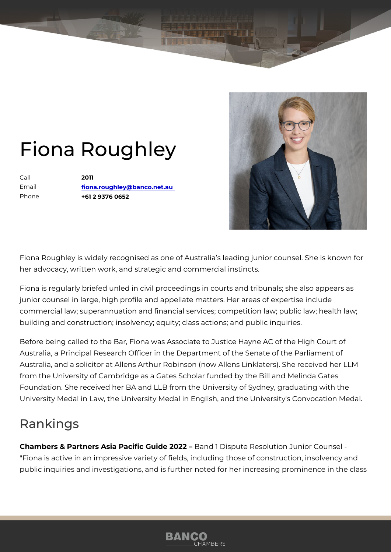## Fiona Roughley

Call 2011 Email [fiona.roughley@banco](mailto:fiona.roughley@banco.net.au).net.au Phone +61 2 9376 0652

Fiona Roughley is widely recognised as one of Australia s leading junior her advocacy, written work, and strategic and commercial instincts.

Fiona is regularly briefed unled in civil proceedings in courts and tribuna junior counsel in large, high profile and appellate matters. Her areas of commercial law; superannuation and financial services; competition law; building and construction; insolvency; equity; class actions; and public i

Before being called to the Bar, Fiona was Associate to Justice Hayne AC Australia, a Principal Research Officer in the Department of the Senate of Australia, and a solicitor at Allens Arthur Robinson (now Allens Linklater from the University of Cambridge as a Gates Scholar funded by the Bill a Foundation. She received her BA and LLB from the University of Sydney, University Medal in Law, the University Medal in English, and the Univers

## Rankings

Chambers & Partners Asia Pacific Bande 1202 & pute Resolution Junior Cour "Fiona is active in an impressive variety of fields, including those of con public inquiries and investigations, and is further noted for her increasin